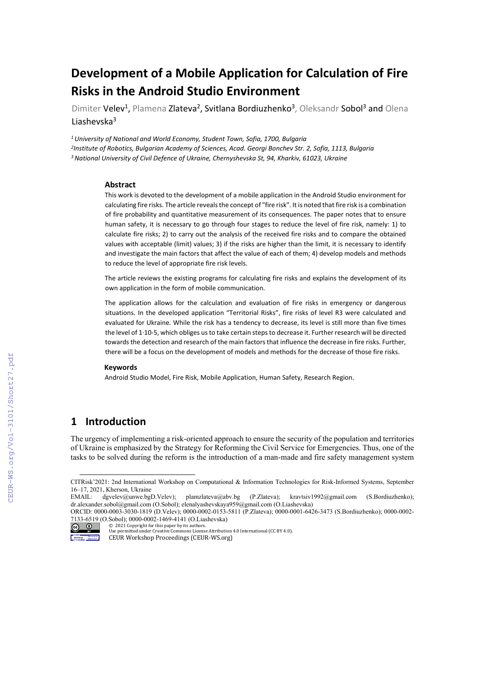# **Development of a Mobile Application for Calculation of Fire Risks in the Android Studio Environment**

Dimiter Velev<sup>1</sup>, Plamena Zlateva<sup>2</sup>, Svitlana Bordiuzhenko<sup>3</sup>, Oleksandr Sobol<sup>3</sup> and Olena Liashevska3

*1University of National and World Economy, Student Town, Sofia, 1700, Bulgaria 2Institute of Robotics, Bulgarian Academy of Sciences, Acad. Georgi Bonchev Str. 2, Sofia, 1113, Bulgaria 3National University of Civil Defence of Ukraine, Chernyshevska St, 94, Kharkiv, 61023, Ukraine*

#### **Abstract**

This work is devoted to the development of a mobile application in the Android Studio environment for calculating fire risks. The article reveals the concept of "fire risk". It is noted that fire risk is a combination of fire probability and quantitative measurement of its consequences. The paper notes that to ensure human safety, it is necessary to go through four stages to reduce the level of fire risk, namely: 1) to calculate fire risks; 2) to carry out the analysis of the received fire risks and to compare the obtained values with acceptable (limit) values; 3) if the risks are higher than the limit, it is necessary to identify and investigate the main factors that affect the value of each of them; 4) develop models and methods to reduce the level of appropriate fire risk levels.

The article reviews the existing programs for calculating fire risks and explains the development of its own application in the form of mobile communication.

The application allows for the calculation and evaluation of fire risks in emergency or dangerous situations. In the developed application "Territorial Risks", fire risks of level R3 were calculated and evaluated for Ukraine. While the risk has a tendency to decrease, its level is still more than five times the level of 1·10-5, which obliges us to take certain steps to decrease it. Further research will be directed towards the detection and research of the main factors that influence the decrease in fire risks. Further, there will be a focus on the development of models and methods for the decrease of those fire risks.

#### **Keywords**

Android Studio Model, Fire Risk, Mobile Application, Human Safety, Research Region.

# **1 Introduction**

The urgency of implementing a risk-oriented approach to ensure the security of the population and territories of Ukraine is emphasized by the Strategy for Reforming the Civil Service for Emergencies. Thus, one of the tasks to be solved during the reform is the introduction of a man-made and fire safety management system

<span id="page-0-0"></span>CITRisk'2021: 2nd International Workshop on Computational & Information Technologies for Risk-Informed Systems, September 16–17, 2021, Kherson, Ukraine<br>EMAIL: dgvelev@unwe.bgD.Velev);

[plamzlateva@abv.bg](mailto:plamzlateva@abv.bg) (P.Zlateva); [kravtsiv1992@gmail.com](mailto:kravtsiv1992@gmail.com) (S.Bordiuzhenko); [dr.alexander.sobol@gmail.com](mailto:dr.alexander.sobol@gmail.com) (O.Sobol)[; elenalyashevskaya959@gmail.com](mailto:elenalyashevskaya959@gmail.com) (O.Liashevska)

ORCID: 0000-0003-3030-1819 (D.Velev); 0000-0002-0153-5811 (P.Zlateva); 0000-0001-6426-3473 (S.Bordiuzhenko); 0000-0002- 7133-6519 (O.Sobol); 0000-0002-1469-4141 (O.Liashevska)

<sup>©</sup> 2021 Copyright for this paper by its authors.  $\circ$   $\circ$ Use permitted under Creative Commons License Attribution 4.0 International (CC BY 4.0).

hop Mehmaning<br>Indings Borresson CEUR Workshop Proceedings (CEUR-WS.org)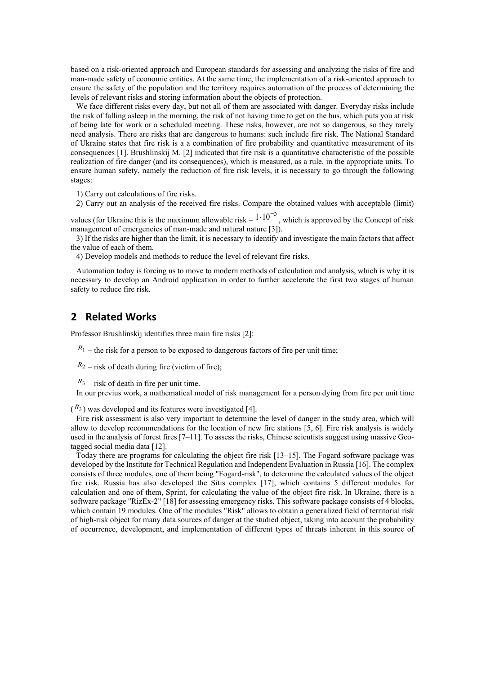based on a risk-oriented approach and European standards for assessing and analyzing the risks of fire and man-made safety of economic entities. At the same time, the implementation of a risk-oriented approach to ensure the safety of the population and the territory requires automation of the process of determining the levels of relevant risks and storing information about the objects of protection.

We face different risks every day, but not all of them are associated with danger. Everyday risks include the risk of falling asleep in the morning, the risk of not having time to get on the bus, which puts you at risk of being late for work or a scheduled meeting. These risks, however, are not so dangerous, so they rarely need analysis. There are risks that are dangerous to humans: such include fire risk. The National Standard of Ukraine states that fire risk is a a combination of fire probability and quantitative measurement of its consequences [1]. Brushlinskij M. [2] indicated that fire risk is a quantitative characteristic of the possible realization of fire danger (and its consequences), which is measured, as a rule, in the appropriate units. To ensure human safety, namely the reduction of fire risk levels, it is necessary to go through the following stages:

1) Carry out calculations of fire risks.

2) Carry out an analysis of the received fire risks. Compare the obtained values with acceptable (limit)

values (for Ukraine this is the maximum allowable risk  $-1 \cdot 10^{-5}$ , which is approved by the Concept of risk management of emergencies of man-made and natural nature [3]).

3) If the risks are higher than the limit, it is necessary to identify and investigate the main factors that affect the value of each of them.

4) Develop models and methods to reduce the level of relevant fire risks.

Automation today is forcing us to move to modern methods of calculation and analysis, which is why it is necessary to develop an Android application in order to further accelerate the first two stages of human safety to reduce fire risk.

## **2 Related Works**

Professor Brushlinskij identifies three main fire risks [2]:

 $R_1$  – the risk for a person to be exposed to dangerous factors of fire per unit time;

 $R_2$  – risk of death during fire (victim of fire);

 $R_3$  – risk of death in fire per unit time.

In our previus work, a mathematical model of risk management for a person dying from fire per unit time

 $\binom{R_3}{8}$  was developed and its features were investigated [4].

Fire risk assessment is also very important to determine the level of danger in the study area, which will allow to develop recommendations for the location of new fire stations [5, 6]. Fire risk analysis is widely used in the analysis of forest fires [7–11]. To assess the risks, Chinese scientists suggest using massive Geotagged social media data [12].

Today there are programs for calculating the object fire risk [13–15]. The Fogard software package was developed by the Institute for Technical Regulation and Independent Evaluation in Russia [16]. The complex consists of three modules, one of them being "Fogard-risk", to determine the calculated values of the object fire risk. Russia has also developed the Sitis complex [17], which contains 5 different modules for calculation and one of them, Sprint, for calculating the value of the object fire risk. In Ukraine, there is a software package "RizEx-2" [18] for assessing emergency risks. This software package consists of 4 blocks, which contain 19 modules. One of the modules "Risk" allows to obtain a generalized field of territorial risk of high-risk object for many data sources of danger at the studied object, taking into account the probability of occurrence, development, and implementation of different types of threats inherent in this source of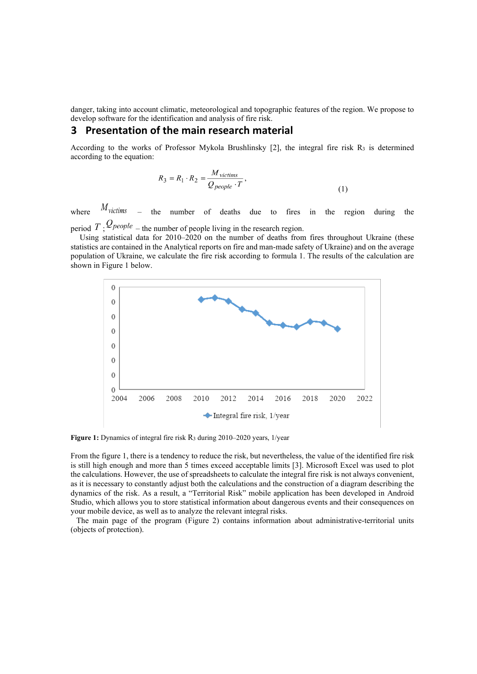danger, taking into account climatic, meteorological and topographic features of the region. We propose to develop software for the identification and analysis of fire risk.

## **3 Presentation of the main research material**

According to the works of Professor Mykola Brushlinsky [2], the integral fire risk  $R_3$  is determined according to the equation:

$$
R_3 = R_1 \cdot R_2 = \frac{M_{\text{victims}}}{Q_{\text{people}} \cdot T},\tag{1}
$$

where  $M_{victims}$  – the number of deaths due to fires in the region during the period  $T$ ;  $\mathcal{Q}_\text{people}$  – the number of people living in the research region.

Using statistical data for 2010–2020 on the number of deaths from fires throughout Ukraine (these statistics are contained in the Analytical reports on fire and man-made safety of Ukraine) and on the average population of Ukraine, we calculate the fire risk according to formula 1. The results of the calculation are shown in Figure 1 below.



**Figure 1:** Dynamics of integral fire risk R<sub>3</sub> during 2010–2020 years, 1/year

From the figure 1, there is a tendency to reduce the risk, but nevertheless, the value of the identified fire risk is still high enough and more than 5 times exceed acceptable limits [3]. Microsoft Excel was used to plot the calculations. However, the use of spreadsheets to calculate the integral fire risk is not always convenient, as it is necessary to constantly adjust both the calculations and the construction of a diagram describing the dynamics of the risk. As a result, a "Territorial Risk" mobile application has been developed in Android Studio, which allows you to store statistical information about dangerous events and their consequences on your mobile device, as well as to analyze the relevant integral risks.

The main page of the program (Figure 2) contains information about administrative-territorial units (objects of protection).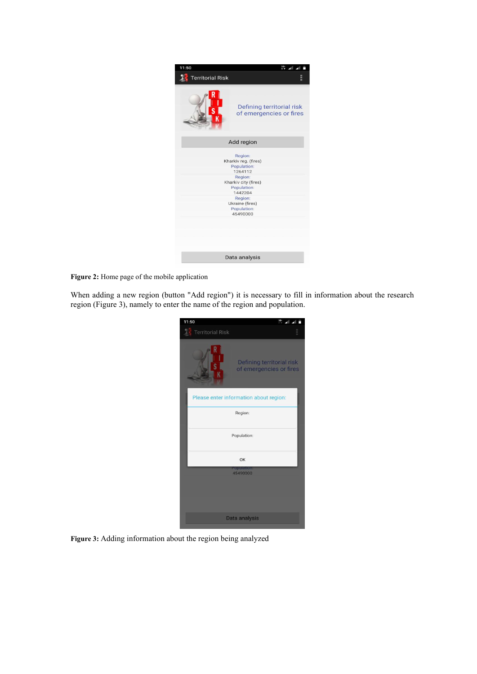| 11:50                   |                                                           |
|-------------------------|-----------------------------------------------------------|
| <b>Territorial Risk</b> |                                                           |
|                         | Defining territorial risk<br>of emergencies or fires      |
|                         | Add region                                                |
|                         | Region:<br>Kharkiv reg. (fires)<br>Population:<br>1264112 |
|                         | Region:<br>Kharkiv city (fires)<br>Population:<br>1442204 |
|                         | Region:<br>Ukraine (fires)<br>Population:<br>45490000     |
|                         |                                                           |
|                         | Data analysis                                             |

**Figure 2:** Home page of the mobile application

When adding a new region (button "Add region") it is necessary to fill in information about the research region (Figure 3), namely to enter the name of the region and population.

| 11:50                                  | 歴                                                    |  |
|----------------------------------------|------------------------------------------------------|--|
| <b>Territorial Risk</b>                |                                                      |  |
| 5<br>K                                 | Defining territorial risk<br>of emergencies or fires |  |
| Please enter information about region: |                                                      |  |
| Region:                                |                                                      |  |
| Population:                            |                                                      |  |
|                                        | OK                                                   |  |
| <b>Population</b><br>45490000          |                                                      |  |
|                                        |                                                      |  |
| Data analysis                          |                                                      |  |

**Figure 3:** Adding information about the region being analyzed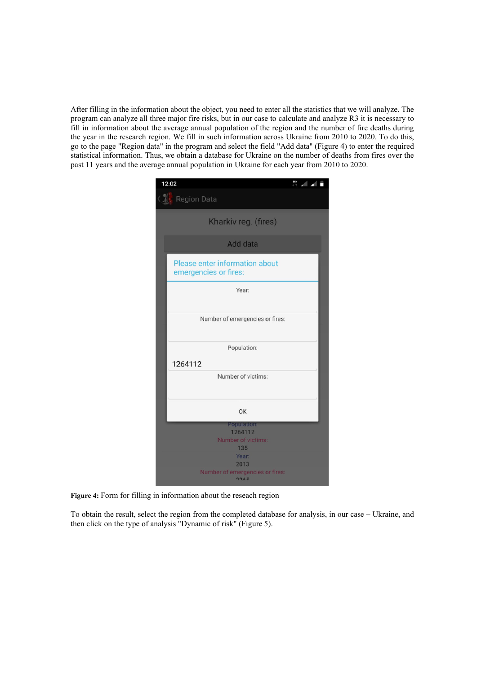After filling in the information about the object, you need to enter all the statistics that we will analyze. The program can analyze all three major fire risks, but in our case to calculate and analyze R3 it is necessary to fill in information about the average annual population of the region and the number of fire deaths during the year in the research region. We fill in such information across Ukraine from 2010 to 2020. To do this, go to the page "Region data" in the program and select the field "Add data" (Figure 4) to enter the required statistical information. Thus, we obtain a database for Ukraine on the number of deaths from fires over the past 11 years and the average annual population in Ukraine for each year from 2010 to 2020.

|                        | 12:02                                                   |  |  |  |
|------------------------|---------------------------------------------------------|--|--|--|
|                        | Region Data                                             |  |  |  |
|                        | Kharkiv reg. (fires)                                    |  |  |  |
| Add data               |                                                         |  |  |  |
|                        | Please enter information about<br>emergencies or fires: |  |  |  |
|                        | Year:                                                   |  |  |  |
|                        | Number of emergencies or fires:                         |  |  |  |
|                        | Population:                                             |  |  |  |
| 1264112                |                                                         |  |  |  |
|                        | Number of victims:                                      |  |  |  |
| OK                     |                                                         |  |  |  |
| Population:<br>1264112 |                                                         |  |  |  |
| Number of victims:     |                                                         |  |  |  |
| 135<br>Year:           |                                                         |  |  |  |
| 2013                   |                                                         |  |  |  |
|                        | Number of emergencies or fires:<br>7765                 |  |  |  |

**Figure 4:** Form for filling in information about the reseach region

To obtain the result, select the region from the completed database for analysis, in our case – Ukraine, and then click on the type of analysis "Dynamic of risk" (Figure 5).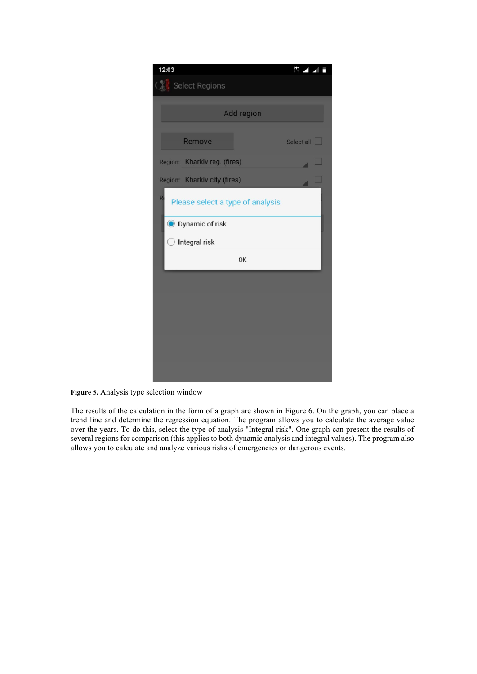

**Figure 5.** Analysis type selection window

The results of the calculation in the form of a graph are shown in Figure 6. On the graph, you can place a trend line and determine the regression equation. The program allows you to calculate the average value over the years. To do this, select the type of analysis "Integral risk". One graph can present the results of several regions for comparison (this applies to both dynamic analysis and integral values). The program also allows you to calculate and analyze various risks of emergencies or dangerous events.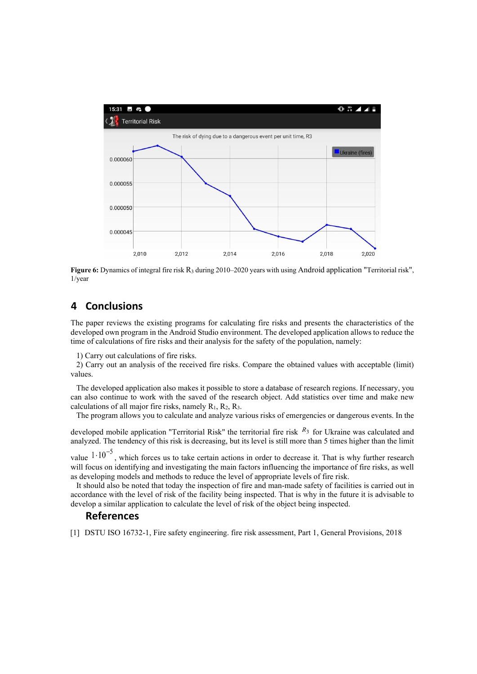

**Figure 6:** Dynamics of integral fire risk R<sub>3</sub> during 2010–2020 years with using Android application "Territorial risk", 1/year

# **4 Conclusions**

The paper reviews the existing programs for calculating fire risks and presents the characteristics of the developed own program in the Android Studio environment. The developed application allows to reduce the time of calculations of fire risks and their analysis for the safety of the population, namely:

1) Carry out calculations of fire risks.

2) Carry out an analysis of the received fire risks. Compare the obtained values with acceptable (limit) values.

The developed application also makes it possible to store a database of research regions. If necessary, you can also continue to work with the saved of the research object. Add statistics over time and make new calculations of all major fire risks, namely  $R_1$ ,  $R_2$ ,  $R_3$ .

The program allows you to calculate and analyze various risks of emergencies or dangerous events. In the

developed mobile application "Territorial Risk" the territorial fire risk  $R_3$  for Ukraine was calculated and analyzed. The tendency of this risk is decreasing, but its level is still more than 5 times higher than the limit

value  $1 \cdot 10^{-5}$ , which forces us to take certain actions in order to decrease it. That is why further research will focus on identifying and investigating the main factors influencing the importance of fire risks, as well as developing models and methods to reduce the level of appropriate levels of fire risk.

It should also be noted that today the inspection of fire and man-made safety of facilities is carried out in accordance with the level of risk of the facility being inspected. That is why in the future it is advisable to develop a similar application to calculate the level of risk of the object being inspected.

## **References**

[1] DSTU ISO 16732-1, Fire safety engineering. fire risk assessment, Part 1, General Provisions, 2018